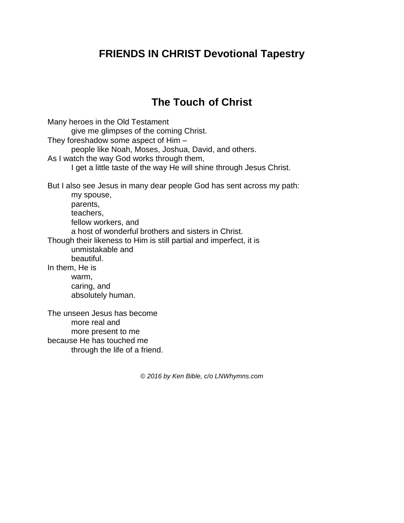## **FRIENDS IN CHRIST Devotional Tapestry**

## **The Touch of Christ**

Many heroes in the Old Testament give me glimpses of the coming Christ. They foreshadow some aspect of Him – people like Noah, Moses, Joshua, David, and others. As I watch the way God works through them, I get a little taste of the way He will shine through Jesus Christ. But I also see Jesus in many dear people God has sent across my path: my spouse, parents, teachers, fellow workers, and a host of wonderful brothers and sisters in Christ. Though their likeness to Him is still partial and imperfect, it is unmistakable and beautiful. In them, He is warm, caring, and absolutely human. The unseen Jesus has become more real and more present to me because He has touched me through the life of a friend.

*© 2016 by Ken Bible, c/o LNWhymns.com*